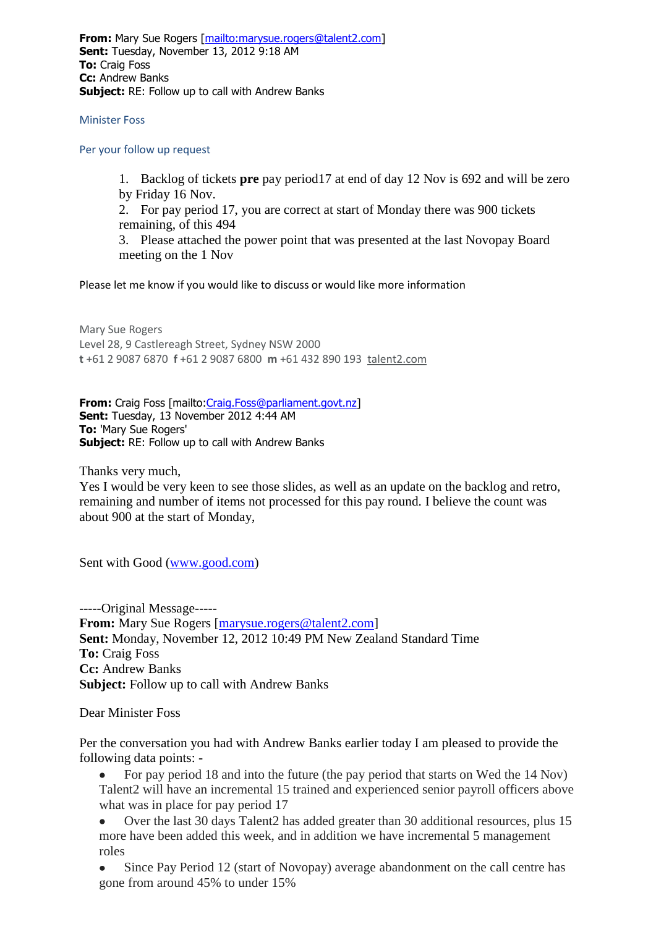**From:** Mary Sue Rogers [\[mailto:marysue.rogers@talent2.com\]](mailto:marysue.rogers@talent2.com) **Sent:** Tuesday, November 13, 2012 9:18 AM **To:** Craig Foss **Cc:** Andrew Banks **Subject:** RE: Follow up to call with Andrew Banks

Minister Foss

Per your follow up request

1. Backlog of tickets **pre** pay period17 at end of day 12 Nov is 692 and will be zero by Friday 16 Nov.

2. For pay period 17, you are correct at start of Monday there was 900 tickets remaining, of this 494

3. Please attached the power point that was presented at the last Novopay Board meeting on the 1 Nov

Please let me know if you would like to discuss or would like more information

Mary Sue Rogers Level 28, 9 Castlereagh Street, Sydney NSW 2000 **t** +61 2 9087 6870 **f** +61 2 9087 6800 **m** +61 432 890 193 [talent2.com](http://talent2.com/)

**From:** Craig Foss [mailto: Craig. Foss@parliament.govt.nz] **Sent:** Tuesday, 13 November 2012 4:44 AM **To:** 'Mary Sue Rogers' **Subject:** RE: Follow up to call with Andrew Banks

Thanks very much,

Yes I would be very keen to see those slides, as well as an update on the backlog and retro, remaining and number of items not processed for this pay round. I believe the count was about 900 at the start of Monday,

Sent with Good [\(www.good.com\)](http://www.good.com/)

-----Original Message----- **From:** Mary Sue Rogers [\[marysue.rogers@talent2.com\]](mailto:marysue.rogers@talent2.com) **Sent:** Monday, November 12, 2012 10:49 PM New Zealand Standard Time **To:** Craig Foss **Cc:** Andrew Banks **Subject:** Follow up to call with Andrew Banks

Dear Minister Foss

Per the conversation you had with Andrew Banks earlier today I am pleased to provide the following data points: -

• For pay period 18 and into the future (the pay period that starts on Wed the 14 Nov) Talent2 will have an incremental 15 trained and experienced senior payroll officers above what was in place for pay period 17

 Over the last 30 days Talent2 has added greater than 30 additional resources, plus 15 more have been added this week, and in addition we have incremental 5 management roles

 Since Pay Period 12 (start of Novopay) average abandonment on the call centre has gone from around 45% to under 15%